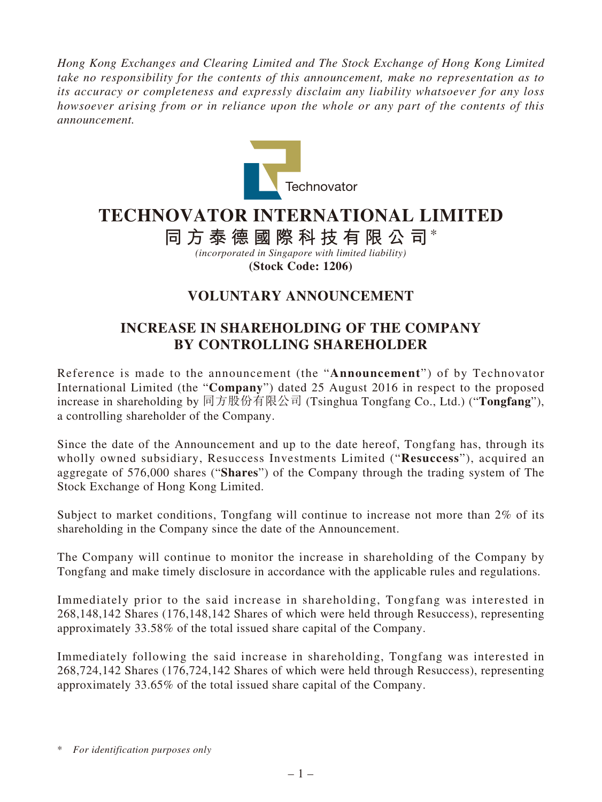*Hong Kong Exchanges and Clearing Limited and The Stock Exchange of Hong Kong Limited take no responsibility for the contents of this announcement, make no representation as to its accuracy or completeness and expressly disclaim any liability whatsoever for any loss howsoever arising from or in reliance upon the whole or any part of the contents of this announcement.*



## **TECHNOVATOR INTERNATIONAL LIMITED**

**同方泰德國際科技有限公司**\*

*(incorporated in Singapore with limited liability)* **(Stock Code: 1206)**

## **VOLUNTARY ANNOUNCEMENT**

## **INCREASE IN SHAREHOLDING OF THE COMPANY BY CONTROLLING SHAREHOLDER**

Reference is made to the announcement (the "**Announcement**") of by Technovator International Limited (the "**Company**") dated 25 August 2016 in respect to the proposed increase in shareholding by 同方股份有限公司 (Tsinghua Tongfang Co., Ltd.) ("**Tongfang**"), a controlling shareholder of the Company.

Since the date of the Announcement and up to the date hereof, Tongfang has, through its wholly owned subsidiary, Resuccess Investments Limited ("**Resuccess**"), acquired an aggregate of 576,000 shares ("**Shares**") of the Company through the trading system of The Stock Exchange of Hong Kong Limited.

Subject to market conditions, Tongfang will continue to increase not more than 2% of its shareholding in the Company since the date of the Announcement.

The Company will continue to monitor the increase in shareholding of the Company by Tongfang and make timely disclosure in accordance with the applicable rules and regulations.

Immediately prior to the said increase in shareholding, Tongfang was interested in 268,148,142 Shares (176,148,142 Shares of which were held through Resuccess), representing approximately 33.58% of the total issued share capital of the Company.

Immediately following the said increase in shareholding, Tongfang was interested in 268,724,142 Shares (176,724,142 Shares of which were held through Resuccess), representing approximately 33.65% of the total issued share capital of the Company.

<sup>\*</sup> *For identification purposes only*